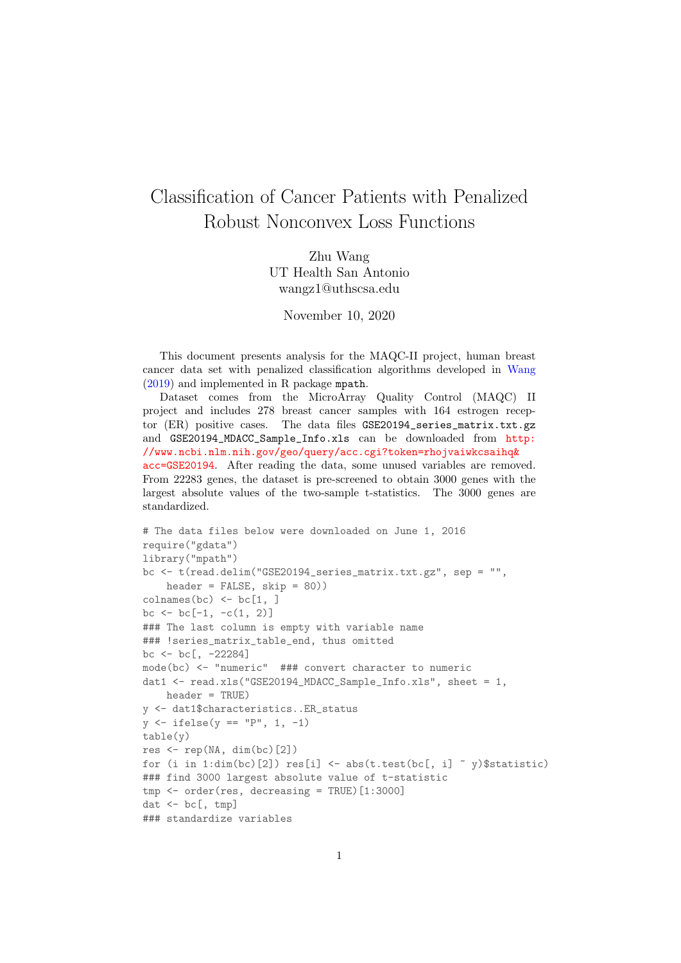## Classification of Cancer Patients with Penalized Robust Nonconvex Loss Functions

Zhu Wang UT Health San Antonio wangz1@uthscsa.edu

November 10, 2020

This document presents analysis for the MAQC-II project, human breast cancer data set with penalized classification algorithms developed in [Wang](#page-5-0) [\(2019\)](#page-5-0) and implemented in R package mpath.

Dataset comes from the MicroArray Quality Control (MAQC) II project and includes 278 breast cancer samples with 164 estrogen receptor (ER) positive cases. The data files GSE20194\_series\_matrix.txt.gz and GSE20194\_MDACC\_Sample\_Info.xls can be downloaded from [http:](http://www.ncbi.nlm.nih.gov/geo/query/acc.cgi?token=rhojvaiwkcsaihq&acc=GSE20194) [//www.ncbi.nlm.nih.gov/geo/query/acc.cgi?token=rhojvaiwkcsaihq&](http://www.ncbi.nlm.nih.gov/geo/query/acc.cgi?token=rhojvaiwkcsaihq&acc=GSE20194) [acc=GSE20194](http://www.ncbi.nlm.nih.gov/geo/query/acc.cgi?token=rhojvaiwkcsaihq&acc=GSE20194). After reading the data, some unused variables are removed. From 22283 genes, the dataset is pre-screened to obtain 3000 genes with the largest absolute values of the two-sample t-statistics. The 3000 genes are standardized.

```
# The data files below were downloaded on June 1, 2016
require("gdata")
library("mpath")
bc <- t(read.delim("GSE20194_series_matrix.txt.gz", sep = "",
    header = FALSE, skip = 80))
\text{columns}(bc) \leftarrow \text{bc}[1, ]bc \le bc [-1, -c(1, 2)]### The last column is empty with variable name
### !series_matrix_table_end, thus omitted
bc \leftarrow bc[, -22284]
mode(bc) <- "numeric" ### convert character to numeric
dat1 <- read.xls("GSE20194_MDACC_Sample_Info.xls", sheet = 1,
   header = TRUE)
y <- dat1$characteristics..ER_status
y \leftarrow ifelse(y == "P", 1, -1)table(y)
res \leq rep(NA, dim(bc)[2])
for (i in 1:dim(bc)[2]) res[i] \leq -abs(t.test(bc[, i] \leq y)\$statistic)
### find 3000 largest absolute value of t-statistic
tmp <- order(res, decreasing = TRUE)[1:3000]
dat \leftarrow bc[, tmp]
### standardize variables
```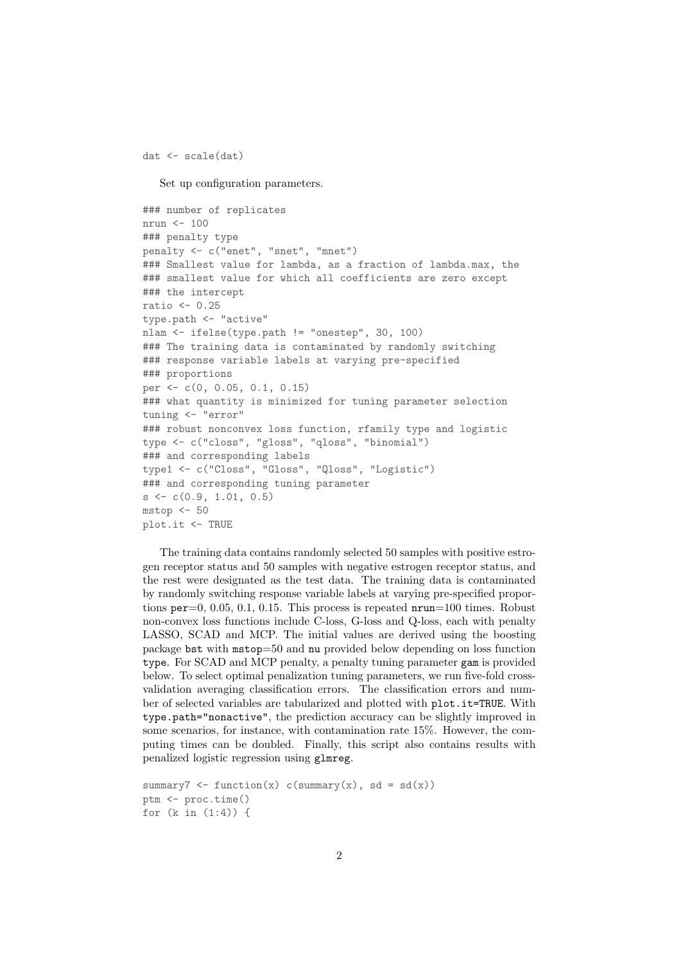dat <- scale(dat)

Set up configuration parameters.

```
### number of replicates
nrun <- 100
### penalty type
penalty <- c("enet", "snet", "mnet")
### Smallest value for lambda, as a fraction of lambda.max, the
### smallest value for which all coefficients are zero except
### the intercept
ratio <- 0.25
type.path <- "active"
nlam <- ifelse(type.path != "onestep", 30, 100)
### The training data is contaminated by randomly switching
### response variable labels at varying pre-specified
### proportions
per <- c(0, 0.05, 0.1, 0.15)
### what quantity is minimized for tuning parameter selection
tuning <- "error"
### robust nonconvex loss function, rfamily type and logistic
type <- c("closs", "gloss", "qloss", "binomial")
### and corresponding labels
type1 <- c("Closs", "Gloss", "Qloss", "Logistic")
### and corresponding tuning parameter
s \leftarrow c(0.9, 1.01, 0.5)mstop < -50plot.it <- TRUE
```

```
The training data contains randomly selected 50 samples with positive estro-
gen receptor status and 50 samples with negative estrogen receptor status, and
the rest were designated as the test data. The training data is contaminated
by randomly switching response variable labels at varying pre-specified propor-
tions per=0, 0.05, 0.1, 0.15. This process is repeated nrun=100 times. Robust
non-convex loss functions include C-loss, G-loss and Q-loss, each with penalty
LASSO, SCAD and MCP. The initial values are derived using the boosting
package bst with mstop=50 and nu provided below depending on loss function
type. For SCAD and MCP penalty, a penalty tuning parameter gam is provided
below. To select optimal penalization tuning parameters, we run five-fold cross-
validation averaging classification errors. The classification errors and num-
ber of selected variables are tabularized and plotted with plot.it=TRUE. With
type.path="nonactive", the prediction accuracy can be slightly improved in
some scenarios, for instance, with contamination rate 15%. However, the com-
puting times can be doubled. Finally, this script also contains results with
penalized logistic regression using glmreg.
```

```
summary7 <- function(x) c(summary(x), sd = sd(x))
ptm <- proc.time()
for (k in (1:4)) {
```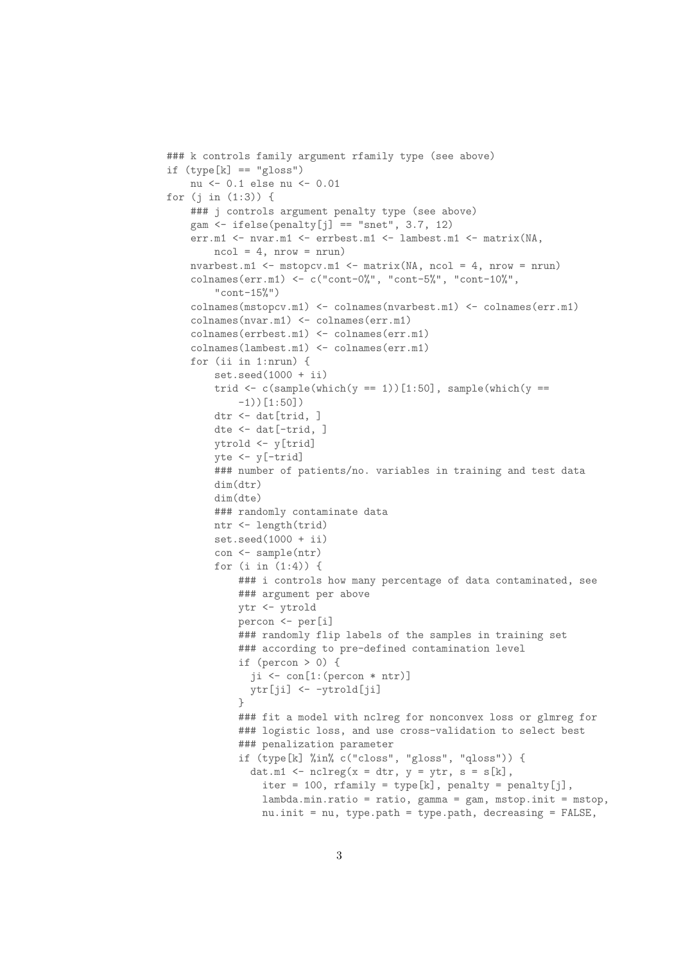```
### k controls family argument rfamily type (see above)
if (type[k] == "gloss")nu <- 0.1 else nu <- 0.01
for (j in (1:3)) {
   ### j controls argument penalty type (see above)
   gam \leftarrow ifelse(penalty[j] == "snet", 3.7, 12)
    err.m1 <- nvar.m1 <- errbest.m1 <- lambest.m1 <- matrix(NA,
        ncol = 4, nrow = nrunnvarbest.m1 <- mstopcv.m1 <- matrix(NA, ncol = 4, nrow = nrun)
    colnames(err.m1) <- c("cont-0%", "cont-5%", "cont-10%",
        "cont-15%")
    colnames(mstopcv.m1) <- colnames(nvarbest.m1) <- colnames(err.m1)
    colnames(nvar.m1) <- colnames(err.m1)
    colnames(errbest.m1) <- colnames(err.m1)
    colnames(lambest.m1) <- colnames(err.m1)
    for (ii in 1:nrun) {
        set.seed(1000 + ii)trid \leq c(sample(which(y == 1))[1:50], sample(which(y ==
            -1))[1:50])
        dtr <- dat[trid, ]
        dte <- dat[-trid, ]
        ytrold <- y[trid]
        yte \leftarrow y[-trid]
        ### number of patients/no. variables in training and test data
        dim(dtr)
        dim(dte)
        ### randomly contaminate data
        ntr <- length(trid)
        set.seed(1000 + ii)con <- sample(ntr)
        for (i in (1:4)) {
            ### i controls how many percentage of data contaminated, see
            ### argument per above
            ytr <- ytrold
            percon <- per[i]
            ### randomly flip labels of the samples in training set
            ### according to pre-defined contamination level
            if (percon > 0) {
              ji \leftarrow con[1:(percon * ntr)]ytr[ji] <- -ytrold[ji]
            }
            ### fit a model with nclreg for nonconvex loss or glmreg for
            ### logistic loss, and use cross-validation to select best
            ### penalization parameter
            if (type[k] %in% c("closs", "gloss", "qloss")) {
              dat.m1 <- nclreg(x = dtr, y = ytr, s = s[k],iter = 100, rfamily = type[k], penalty = penalty[j],
                lambda.min.ratio = ratio, gamma = gam, mstop.init = mstop,
                nu.init = nu, type.path = type.path, decreasing = FALSE,
```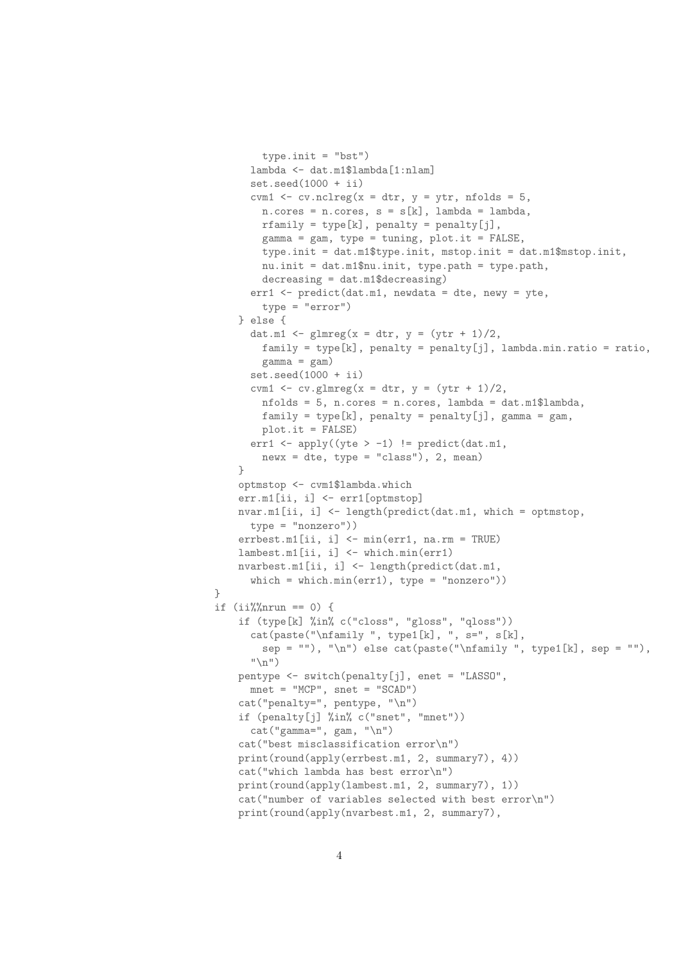```
type.init = "bst")lambda <- dat.m1$lambda[1:nlam]
      set.seed(1000 + ii)cvm1 \le cv.nclreg(x = dtr, y = ytr, nfolds = 5,
        n.corees = n.corees, s = s[k], lambda = lambda,rfamily = type[k], penalty = penalty[j],gamma = gam, type = tuning, plot.it = FALSE,
       type.init = dat.m1$type.init, mstop.init = dat.m1$mstop.init,
       nu.init = dat.m1$nu.init, type.path = type.path,
        decreasing = dat.m1$decreasing)
      err1 <- predict(dat.m1, newdata = dte, newy = yte,
       type = "error")
    } else {
      dat.m1 <- glmreg(x = dtr, y = (ytr + 1)/2,family = type[k], penalty = penalty[j], lambda.min.ratio = ratio,
        gamma = gam)set.seed(1000 + ii)cvm1 <- cv.glmreg(x = dtr, y = (ytr + 1)/2,
        nfolds = 5, n.cores = n.cores, lambda = dat.m1$lambda,
       family = type[k], penalty = penalty[j], gamma = gam,
        plot.it = FALSE)
      err1 <- apply((yte > -1) != predict(dat.m1,
        newx = dte, type = "class"), 2, mean)}
    optmstop <- cvm1$lambda.which
    err.m1[ii, i] <- err1[optmstop]
   nvar.m1[ii, i] <- length(predict(dat.m1, which = optmstop,
      type = "nonzero"))
    errbest.m1[ii, i] <- min(err1, na.rm = TRUE)
    lambest.m1[ii, i] <- which.min(err1)
   nvarbest.m1[ii, i] <- length(predict(dat.m1,
      which = which.min(err1), type = "nonzero"))
}
if (ii%%nrun == 0) {
    if (type[k] %in% c("closs", "gloss", "qloss"))
      cat(paste("\ref{m}), type1[k], ", s=", s[k],
        sep = ""), "\n") else cat(paste("\nfamily ", type1[k], sep = ""),
      ''\n\langle n" \ranglepentype <- switch(penalty[j], enet = "LASSO",
      mnet = "MCP", snet = "SCAD")cat("penalty=", pentype, "\n")
    if (penalty[j] %in% c("snet", "mnet"))
      cat("gamma=", gam, "\\n")cat("best misclassification error\n")
    print(round(apply(errbest.m1, 2, summary7), 4))
    cat("which lambda has best error\n")
   print(round(apply(lambest.m1, 2, summary7), 1))
    cat("number of variables selected with best error\n")
   print(round(apply(nvarbest.m1, 2, summary7),
```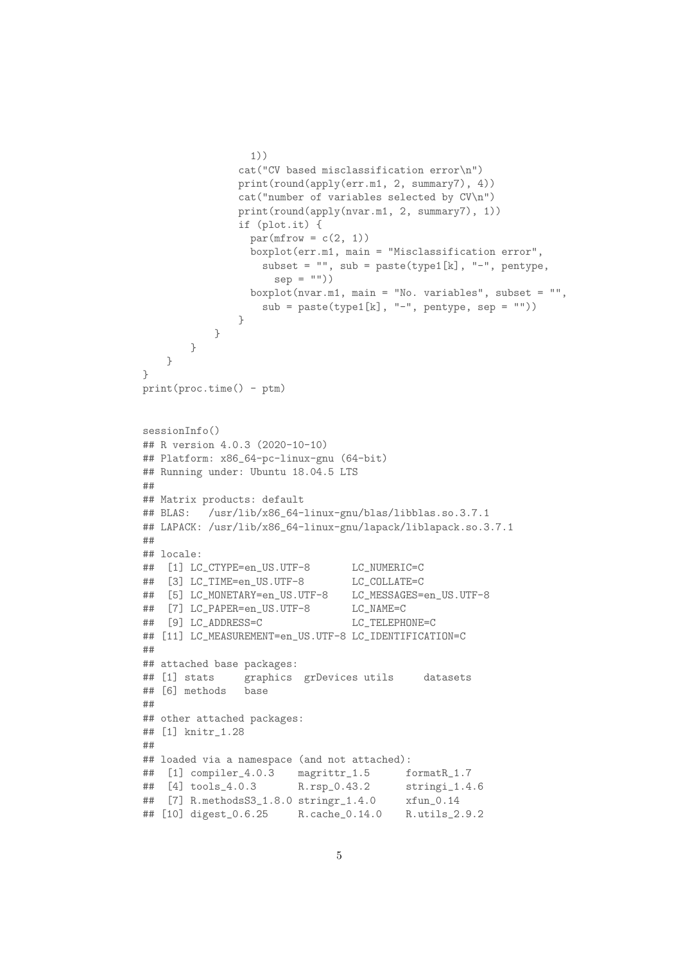```
1))
               cat("CV based misclassification error\n")
               print(round(apply(err.m1, 2, summary7), 4))
               cat("number of variables selected by CV\n")
               print(round(apply(nvar.m1, 2, summary7), 1))
               if (plot.it) {
                 par(mfrow = c(2, 1))boxplot(err.m1, main = "Misclassification error",
                   subset = ", sub = paste(type1[k], "-", pentype,
                    sep = "")boxplot(nvar.m1, main = "No. variables", subset = "",
                  sub = paste(typel[k], "-", pentype, sep = "")}
           }
       }
   }
}
print(proc.time() - ptm)sessionInfo()
## R version 4.0.3 (2020-10-10)
## Platform: x86_64-pc-linux-gnu (64-bit)
## Running under: Ubuntu 18.04.5 LTS
##
## Matrix products: default
## BLAS: /usr/lib/x86_64-linux-gnu/blas/libblas.so.3.7.1
## LAPACK: /usr/lib/x86_64-linux-gnu/lapack/liblapack.so.3.7.1
##
## locale:
## [1] LC_CTYPE=en_US.UTF-8 LC_NUMERIC=C
## [3] LC_TIME=en_US.UTF-8 LC_COLLATE=C
## [5] LC_MONETARY=en_US.UTF-8 LC_MESSAGES=en_US.UTF-8
## [7] LC_PAPER=en_US.UTF-8 LC_NAME=C
## [9] LC_ADDRESS=C LC_TELEPHONE=C
## [11] LC_MEASUREMENT=en_US.UTF-8 LC_IDENTIFICATION=C
##
## attached base packages:
## [1] stats graphics grDevices utils datasets
## [6] methods base
##
## other attached packages:
## [1] knitr_1.28
##
## loaded via a namespace (and not attached):
## [1] compiler_4.0.3 magrittr_1.5 formatR_1.7
## [4] tools_4.0.3 R.rsp_0.43.2 stringi_1.4.6
## [7] R.methodsS3_1.8.0 stringr_1.4.0 xfun_0.14
## [10] digest_0.6.25 R.cache_0.14.0 R.utils_2.9.2
```